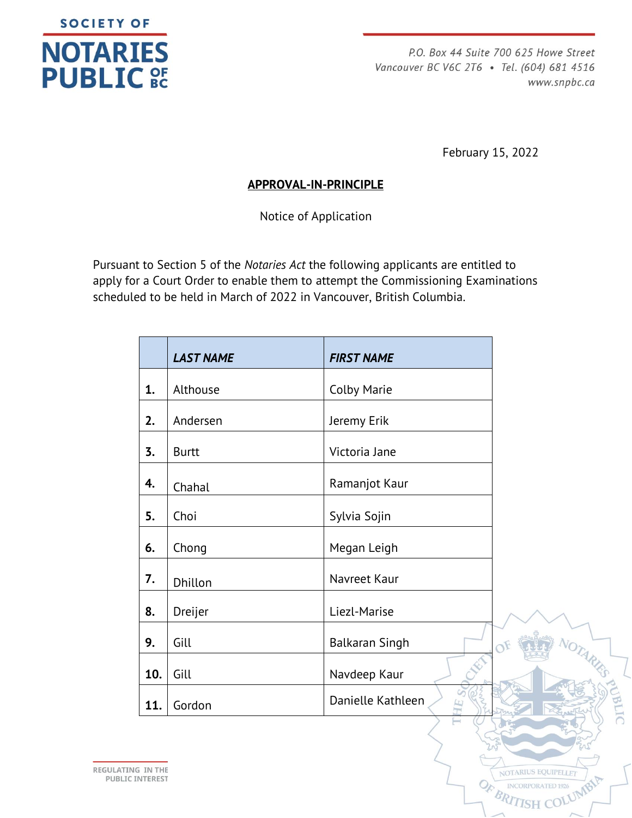

P.O. Box 44 Suite 700 625 Howe Street Vancouver BC V6C 2T6 · Tel. (604) 681 4516 www.snpbc.ca

February 15, 2022

**OTARIUS EQUIPELLE** 

ORPORATED

## **APPROVAL-IN-PRINCIPLE**

Notice of Application

Pursuant to Section 5 of the *Notaries Act* the following applicants are entitled to apply for a Court Order to enable them to attempt the Commissioning Examinations scheduled to be held in March of 2022 in Vancouver, British Columbia.

|     | <b>LAST NAME</b> | <b>FIRST NAME</b>           |
|-----|------------------|-----------------------------|
| 1.  | Althouse         | <b>Colby Marie</b>          |
| 2.  | Andersen         | Jeremy Erik                 |
| 3.  | <b>Burtt</b>     | Victoria Jane               |
| 4.  | Chahal           | Ramanjot Kaur               |
| 5.  | Choi             | Sylvia Sojin                |
| 6.  | Chong            | Megan Leigh                 |
| 7.  | Dhillon          | Navreet Kaur                |
| 8.  | Dreijer          | Liezl-Marise                |
| 9.  | Gill             | <b>Balkaran Singh</b><br>OF |
| 10. | Gill             | Navdeep Kaur                |
| 11. | Gordon           | Danielle Kathleen           |

REGULATING IN THE **PUBLIC INTEREST**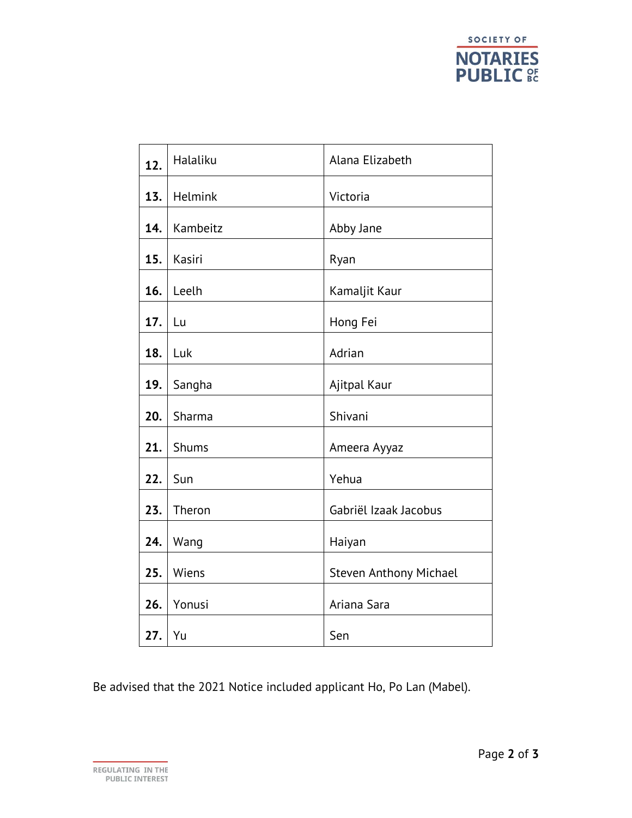

| 12. | Halaliku     | Alana Elizabeth        |
|-----|--------------|------------------------|
| 13. | Helmink      | Victoria               |
| 14. | Kambeitz     | Abby Jane              |
| 15. | Kasiri       | Ryan                   |
| 16. | Leelh        | Kamaljit Kaur          |
| 17. | Lu           | Hong Fei               |
| 18. | Luk          | Adrian                 |
| 19. | Sangha       | Ajitpal Kaur           |
| 20. | Sharma       | Shivani                |
| 21. | <b>Shums</b> | Ameera Ayyaz           |
| 22. | Sun          | Yehua                  |
| 23. | Theron       | Gabriël Izaak Jacobus  |
| 24. | Wang         | Haiyan                 |
| 25. | Wiens        | Steven Anthony Michael |
| 26. | Yonusi       | Ariana Sara            |
| 27. | Yu           | Sen                    |

Be advised that the 2021 Notice included applicant Ho, Po Lan (Mabel).